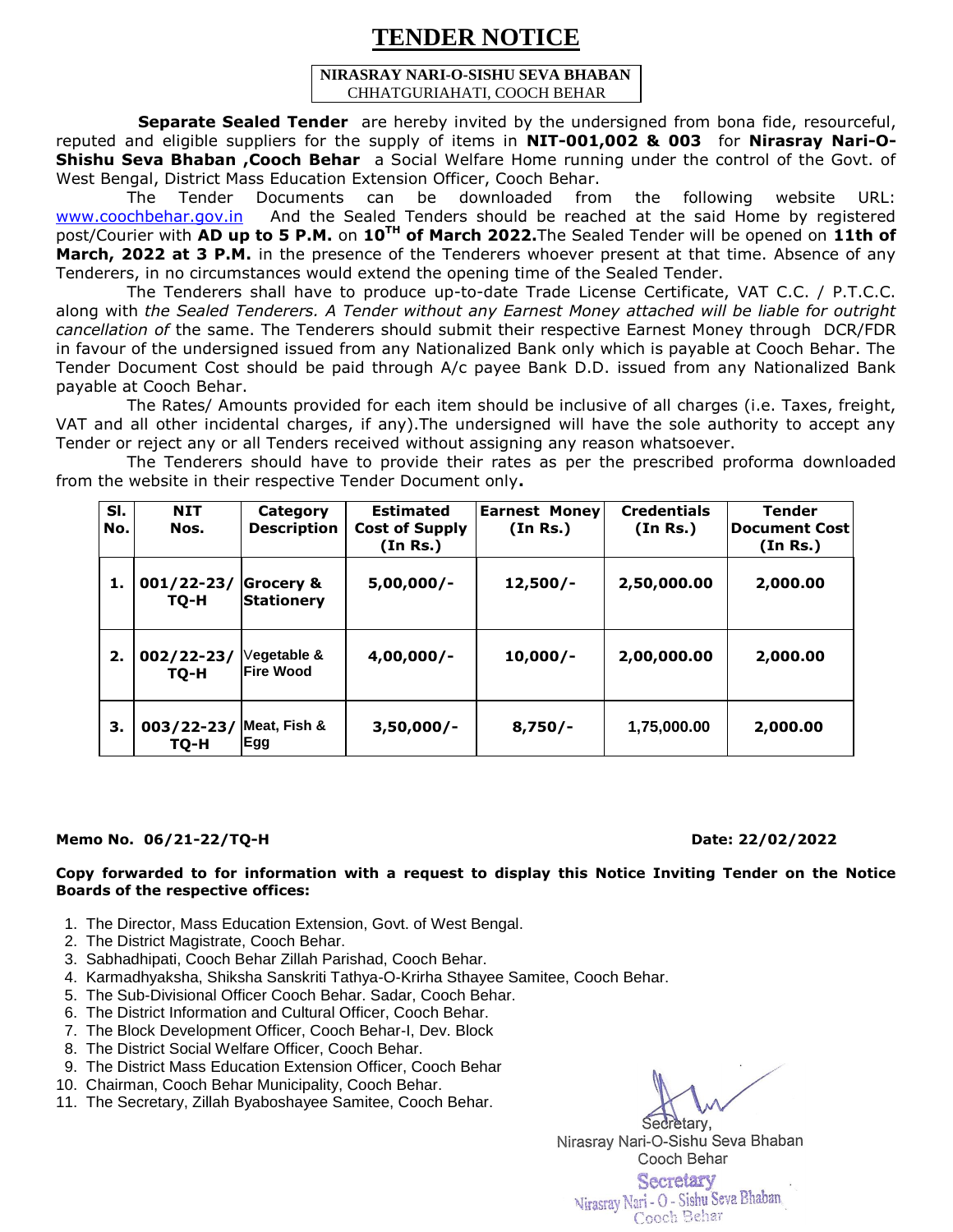# **TENDER NOTICE**

#### **NIRASRAY NARI-O-SISHU SEVA BHABAN** CHHATGURIAHATI, COOCH BEHAR

 **Separate Sealed Tender** are hereby invited by the undersigned from bona fide, resourceful, reputed and eligible suppliers for the supply of items in **NIT-001,002 & 003** for **Nirasray Nari-O-Shishu Seva Bhaban ,Cooch Behar** a Social Welfare Home running under the control of the Govt. of West Bengal, District Mass Education Extension Officer, Cooch Behar.

 The Tender Documents can be downloaded from the following website URL: [www.coochbehar.gov.in](http://www.coochbehar.gov.in/) And the Sealed Tenders should be reached at the said Home by registered post/Courier with **AD up to 5 P.M.** on **10TH of March 2022.**The Sealed Tender will be opened on **11th of March, 2022 at 3 P.M.** in the presence of the Tenderers whoever present at that time. Absence of any Tenderers, in no circumstances would extend the opening time of the Sealed Tender.

 The Tenderers shall have to produce up-to-date Trade License Certificate, VAT C.C. / P.T.C.C. along with *the Sealed Tenderers. A Tender without any Earnest Money attached will be liable for outright cancellation of* the same. The Tenderers should submit their respective Earnest Money through DCR/FDR in favour of the undersigned issued from any Nationalized Bank only which is payable at Cooch Behar. The Tender Document Cost should be paid through A/c payee Bank D.D. issued from any Nationalized Bank payable at Cooch Behar.

 The Rates/ Amounts provided for each item should be inclusive of all charges (i.e. Taxes, freight, VAT and all other incidental charges, if any).The undersigned will have the sole authority to accept any Tender or reject any or all Tenders received without assigning any reason whatsoever.

 The Tenderers should have to provide their rates as per the prescribed proforma downloaded from the website in their respective Tender Document only**.**

| SI.<br>No. | <b>NIT</b><br>Nos.     | Category<br><b>Description</b>            | <b>Estimated</b><br><b>Cost of Supply</b><br>(In Rs.) | <b>Earnest Money</b><br>(In Rs.) | <b>Credentials</b><br>(In Rs.) | <b>Tender</b><br><b>Document Cost</b><br>(In Rs.) |
|------------|------------------------|-------------------------------------------|-------------------------------------------------------|----------------------------------|--------------------------------|---------------------------------------------------|
| 1.         | $001/22 - 23/$<br>TQ-H | <b>Grocery &amp;</b><br><b>Stationery</b> | $5,00,000/-$                                          | $12,500/-$                       | 2,50,000.00                    | 2,000.00                                          |
| 2.         | $002/22 - 23/$<br>TO-H | Vegetable &<br><b>IFire Wood</b>          | $4,00,000/-$                                          | $10,000/-$                       | 2,00,000.00                    | 2,000.00                                          |
| З.         | 003/22-23/<br>TQ-H     | Meat, Fish &<br>Egg                       | $3,50,000/-$                                          | $8,750/-$                        | 1,75,000.00                    | 2,000.00                                          |

### **Memo No. 06/21-22/TQ-H Date: 22/02/2022**

### **Copy forwarded to for information with a request to display this Notice Inviting Tender on the Notice Boards of the respective offices:**

- 1. The Director, Mass Education Extension, Govt. of West Bengal.
- 2. The District Magistrate, Cooch Behar.
- 3. Sabhadhipati, Cooch Behar Zillah Parishad, Cooch Behar.
- 4. Karmadhyaksha, Shiksha Sanskriti Tathya-O-Krirha Sthayee Samitee, Cooch Behar.
- 5. The Sub-Divisional Officer Cooch Behar. Sadar, Cooch Behar.
- 6. The District Information and Cultural Officer, Cooch Behar.
- 7. The Block Development Officer, Cooch Behar-I, Dev. Block
- 8. The District Social Welfare Officer, Cooch Behar.
- 9. The District Mass Education Extension Officer, Cooch Behar
- 10. Chairman, Cooch Behar Municipality, Cooch Behar.
- 11. The Secretary, Zillah Byaboshayee Samitee, Cooch Behar.

Secretary, Nirasray Nari-O-Sishu Seva Bhaban Cooch Behar

Secretary Nirasray Nari - O - Sishu Seva Bhaban Cooch Behar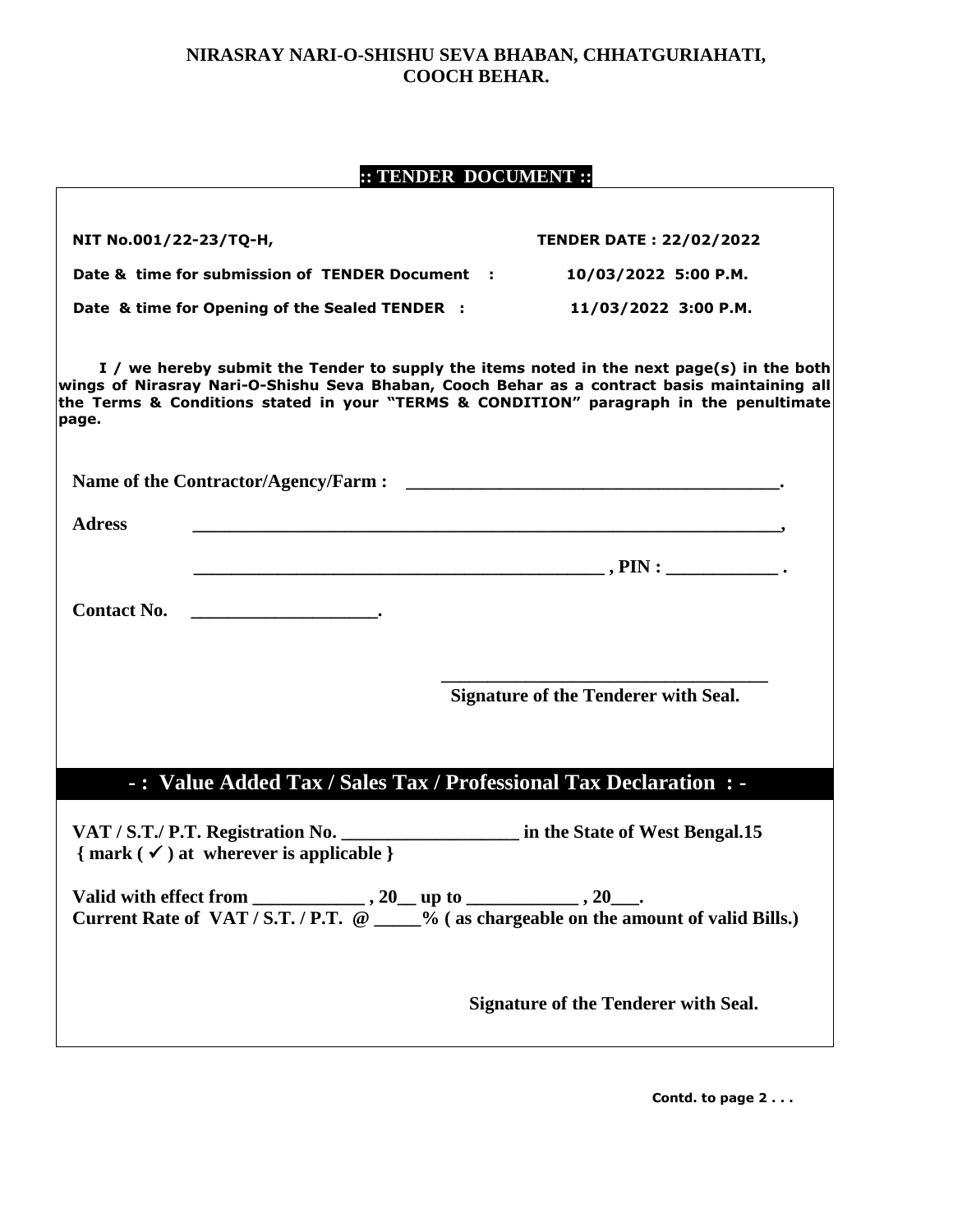### **NIRASRAY NARI-O-SHISHU SEVA BHABAN, CHHATGURIAHATI, COOCH BEHAR.**

## **:: TENDER DOCUMENT ::**

| NIT No.001/22-23/TQ-H, |                                                                             | <b>TENDER DATE: 22/02/2022</b>                                                                                                                                                                                                                                                      |
|------------------------|-----------------------------------------------------------------------------|-------------------------------------------------------------------------------------------------------------------------------------------------------------------------------------------------------------------------------------------------------------------------------------|
|                        | Date & time for submission of TENDER Document :                             | 10/03/2022 5:00 P.M.                                                                                                                                                                                                                                                                |
|                        | Date & time for Opening of the Sealed TENDER :                              | 11/03/2022 3:00 P.M.                                                                                                                                                                                                                                                                |
| page.                  |                                                                             | I / we hereby submit the Tender to supply the items noted in the next page(s) in the both<br>wings of Nirasray Nari-O-Shishu Seva Bhaban, Cooch Behar as a contract basis maintaining all<br>the Terms & Conditions stated in your "TERMS & CONDITION" paragraph in the penultimate |
|                        |                                                                             |                                                                                                                                                                                                                                                                                     |
| <b>Adress</b>          |                                                                             |                                                                                                                                                                                                                                                                                     |
|                        |                                                                             |                                                                                                                                                                                                                                                                                     |
|                        |                                                                             |                                                                                                                                                                                                                                                                                     |
|                        |                                                                             |                                                                                                                                                                                                                                                                                     |
|                        |                                                                             | <b>Signature of the Tenderer with Seal.</b>                                                                                                                                                                                                                                         |
|                        |                                                                             | -: Value Added Tax / Sales Tax / Professional Tax Declaration : -                                                                                                                                                                                                                   |
|                        | $\{ mark (\checkmark) at where$ where is applicable $\}$                    | VAT / S.T./ P.T. Registration No. ______________________ in the State of West Bengal.15                                                                                                                                                                                             |
|                        | Valid with effect from ________________, 20___ up to ______________, 20___. | Current Rate of VAT / S.T. / P.T. @ ____% (as chargeable on the amount of valid Bills.)                                                                                                                                                                                             |
|                        |                                                                             | <b>Signature of the Tenderer with Seal.</b>                                                                                                                                                                                                                                         |

 **Contd. to page 2 . . .**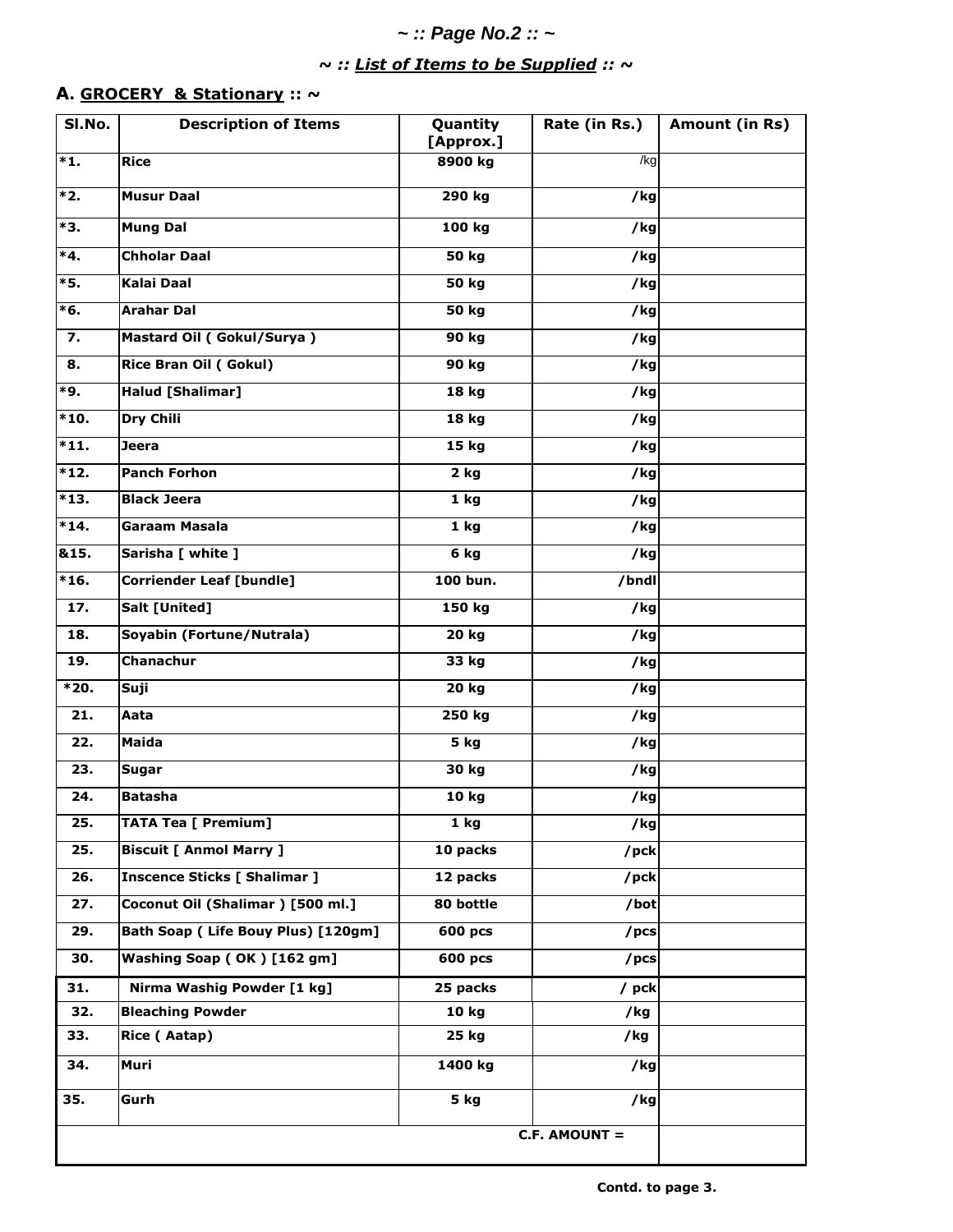## *~ :: Page No.2 :: ~*

# *~ :: List of Items to be Supplied :: ~*

### **A. GROCERY & Stationary :: ~**

| SI.No.            | <b>Description of Items</b>         | Quantity<br>[Approx.] | Rate (in Rs.)     | Amount (in Rs) |
|-------------------|-------------------------------------|-----------------------|-------------------|----------------|
| $*1.$             | <b>Rice</b>                         | 8900 kg               | /kg               |                |
| *2.               | <b>Musur Daal</b>                   | 290 kg                | /kg               |                |
| *3.               | <b>Mung Dal</b>                     | 100 kg                | /kg               |                |
| $*4.$             | <b>Chholar Daal</b>                 | <b>50 kg</b>          | /kg               |                |
| *5.               | <b>Kalai Daal</b>                   | 50 kg                 | /kg               |                |
| $*6.$             | <b>Arahar Dal</b>                   | <b>50 kg</b>          | /kg               |                |
| 7.                | Mastard Oil (Gokul/Surya)           | 90 kg                 | /kg               |                |
| 8.                | Rice Bran Oil (Gokul)               | 90 kg                 | /kg               |                |
| *9.               | <b>Halud [Shalimar]</b>             | 18 kg                 | /kg               |                |
| $*10.$            | Dry Chili                           | 18 kg                 | /kg               |                |
| $*11.$            | Jeera                               | 15 kg                 | /kg               |                |
| $*12.$            | <b>Panch Forhon</b>                 | $\overline{2}$ kg     | $\overline{7}$ kg |                |
| $*13.$            | <b>Black Jeera</b>                  | 1 <sub>kg</sub>       | /kg               |                |
| $*14.$            | Garaam Masala                       | 1 <sub>kg</sub>       | /kg               |                |
| &15.              | Sarisha [ white ]                   | 6 kg                  | /kg               |                |
| $*16.$            | <b>Corriender Leaf [bundle]</b>     | 100 bun.              | /bndl             |                |
| 17.               | Salt [United]                       | 150 kg                | /kg               |                |
| 18.               | Soyabin (Fortune/Nutrala)           | 20 kg                 | /kg               |                |
| 19.               | Chanachur                           | 33 kg                 | /kg               |                |
| $*20.$            | Suji                                | 20 kg                 | /kg               |                |
| $\overline{21}$ . | Aata                                | 250 kg                | $\overline{7}$ kg |                |
| 22.               | <b>Maida</b>                        | 5 kg                  | /kg               |                |
| 23.               | Sugar                               | 30 kg                 | /kg               |                |
| 24.               | <b>Batasha</b>                      | 10 kg                 | $7$ kg            |                |
| 25.               | <b>TATA Tea [ Premium]</b>          | 1 <sub>kg</sub>       | /kg               |                |
| 25.               | <b>Biscuit [ Anmol Marry ]</b>      | 10 packs              | /pck              |                |
| 26.               | <b>Inscence Sticks [ Shalimar ]</b> | 12 packs              | /pck              |                |
| 27.               | Coconut Oil (Shalimar) [500 ml.]    | 80 bottle             | /bot              |                |
| 29.               | Bath Soap (Life Bouy Plus) [120gm]  | 600 pcs               | /pcs              |                |
| 30.               | Washing Soap (OK) [162 gm]          | 600 pcs               | /pcs              |                |
| 31.               | Nirma Washig Powder [1 kg]          | 25 packs              | / pck             |                |
| 32.               | <b>Bleaching Powder</b>             | 10 kg                 | /kg               |                |
| 33.               | Rice (Aatap)                        | 25 kg                 | /kg               |                |
| 34.               | Muri                                | 1400 kg               | /kg               |                |
| 35.               | Gurh                                | 5 kg                  | /kg               |                |
|                   |                                     |                       | C.F. AMOUNT =     |                |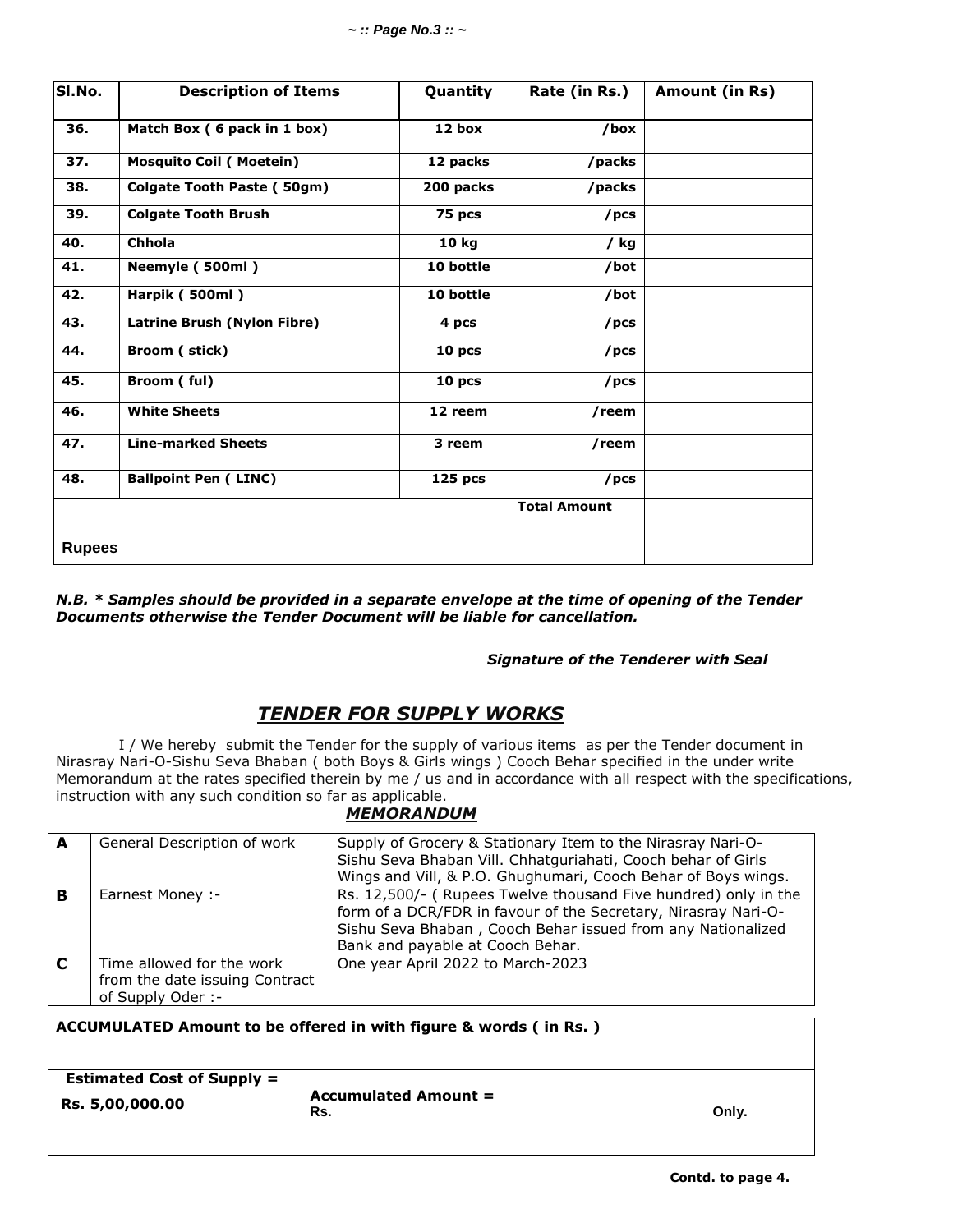| SI.No.        | <b>Description of Items</b>    | Quantity          | Rate (in Rs.)       | Amount (in Rs) |
|---------------|--------------------------------|-------------------|---------------------|----------------|
| 36.           | Match Box (6 pack in 1 box)    | 12 box            | /box                |                |
| 37.           | <b>Mosquito Coil (Moetein)</b> | 12 packs          | /packs              |                |
| 38.           | Colgate Tooth Paste (50gm)     | 200 packs         | /packs              |                |
| 39.           | <b>Colgate Tooth Brush</b>     | 75 pcs            | /pcs                |                |
| 40.           | <b>Chhola</b>                  | 10 kg             | / kg                |                |
| 41.           | Neemyle (500ml)                | 10 bottle         | /bot                |                |
| 42.           | Harpik (500ml)                 | 10 bottle         | /bot                |                |
| 43.           | Latrine Brush (Nylon Fibre)    | 4 pcs             | /pcs                |                |
| 44.           | Broom (stick)                  | 10 <sub>pcs</sub> | /pcs                |                |
| 45.           | Broom (ful)                    | 10 <sub>pcs</sub> | /pcs                |                |
| 46.           | <b>White Sheets</b>            | 12 reem           | /reem               |                |
| 47.           | <b>Line-marked Sheets</b>      | 3 reem            | /reem               |                |
| 48.           | <b>Ballpoint Pen (LINC)</b>    | $125$ pcs         | /pcs                |                |
|               |                                |                   | <b>Total Amount</b> |                |
| <b>Rupees</b> |                                |                   |                     |                |

*N.B. \* Samples should be provided in a separate envelope at the time of opening of the Tender Documents otherwise the Tender Document will be liable for cancellation.*

### *Signature of the Tenderer with Seal*

### *TENDER FOR SUPPLY WORKS*

I / We hereby submit the Tender for the supply of various items as per the Tender document in Nirasray Nari-O-Sishu Seva Bhaban ( both Boys & Girls wings ) Cooch Behar specified in the under write Memorandum at the rates specified therein by me / us and in accordance with all respect with the specifications, instruction with any such condition so far as applicable.

### *MEMORANDUM*

| A | General Description of work                                                      | Supply of Grocery & Stationary Item to the Nirasray Nari-O-<br>Sishu Seva Bhaban Vill. Chhatguriahati, Cooch behar of Girls<br>Wings and Vill, & P.O. Ghughumari, Cooch Behar of Boys wings.                                        |
|---|----------------------------------------------------------------------------------|-------------------------------------------------------------------------------------------------------------------------------------------------------------------------------------------------------------------------------------|
| в | Earnest Money :-                                                                 | Rs. 12,500/- (Rupees Twelve thousand Five hundred) only in the<br>form of a DCR/FDR in favour of the Secretary, Nirasray Nari-O-<br>Sishu Seva Bhaban, Cooch Behar issued from any Nationalized<br>Bank and payable at Cooch Behar. |
| C | Time allowed for the work<br>from the date issuing Contract<br>of Supply Oder :- | One year April 2022 to March-2023                                                                                                                                                                                                   |

| ACCUMULATED Amount to be offered in with figure & words ( in Rs. ) |                                    |       |  |
|--------------------------------------------------------------------|------------------------------------|-------|--|
| <b>Estimated Cost of Supply =</b><br>Rs. 5,00,000.00               | <b>Accumulated Amount =</b><br>Rs. | Only. |  |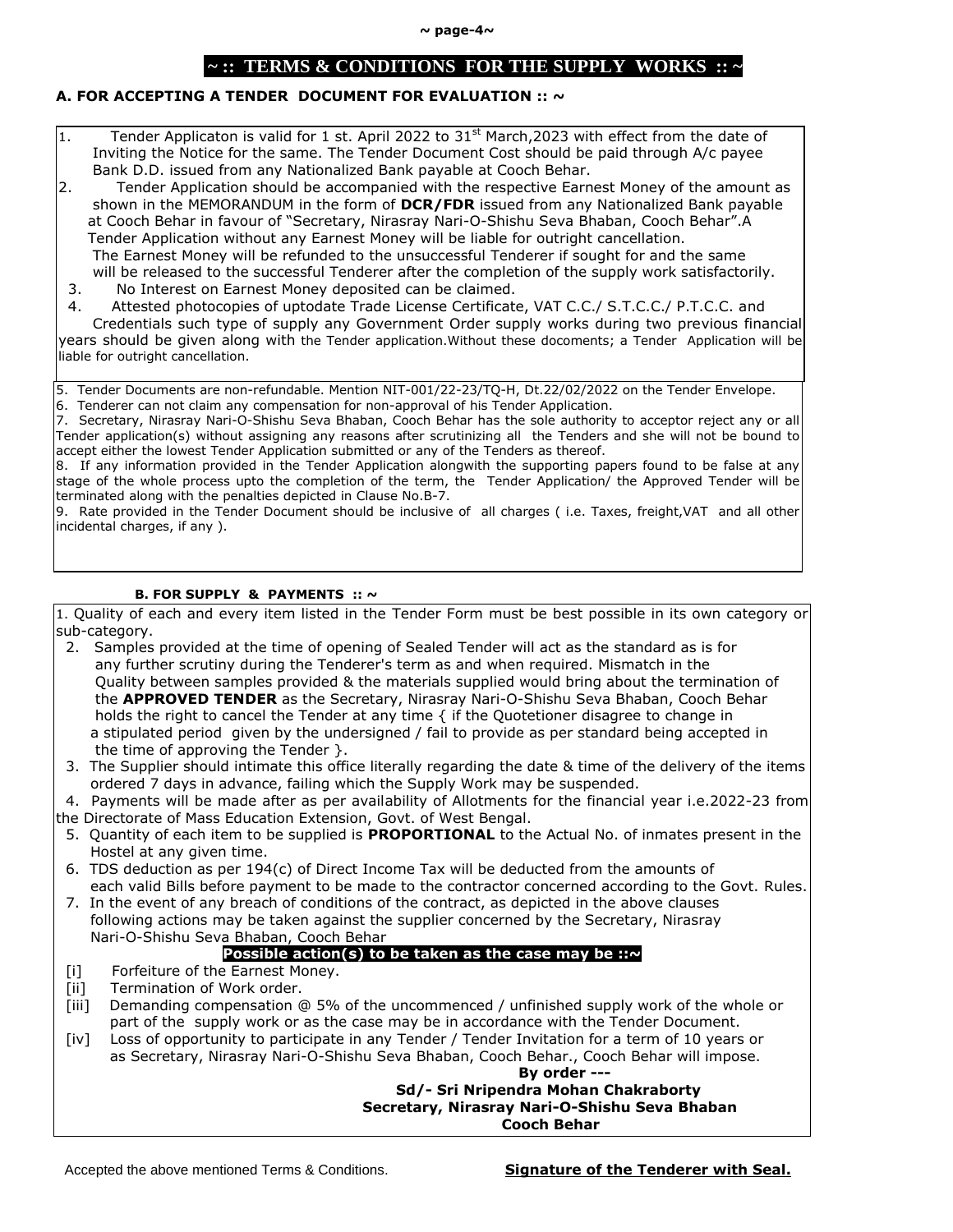#### **~ page-4~**

### **~ :: TERMS & CONDITIONS FOR THE SUPPLY WORKS :: ~**

### **A. FOR ACCEPTING A TENDER DOCUMENT FOR EVALUATION :: ~**

- $|1.$  Tender Applicaton is valid for 1 st. April 2022 to 31st March, 2023 with effect from the date of Inviting the Notice for the same. The Tender Document Cost should be paid through A/c payee Bank D.D. issued from any Nationalized Bank payable at Cooch Behar.
- 2. Tender Application should be accompanied with the respective Earnest Money of the amount as shown in the MEMORANDUM in the form of **DCR/FDR** issued from any Nationalized Bank payable at Cooch Behar in favour of "Secretary, Nirasray Nari-O-Shishu Seva Bhaban, Cooch Behar".A Tender Application without any Earnest Money will be liable for outright cancellation. The Earnest Money will be refunded to the unsuccessful Tenderer if sought for and the same will be released to the successful Tenderer after the completion of the supply work satisfactorily.
- 3. No Interest on Earnest Money deposited can be claimed.
- 4. Attested photocopies of uptodate Trade License Certificate, VAT C.C./ S.T.C.C./ P.T.C.C. and

 Credentials such type of supply any Government Order supply works during two previous financial years should be given along with the Tender application.Without these docoments; a Tender Application will be liable for outright cancellation.

5. Tender Documents are non-refundable. Mention NIT-001/22-23/TQ-H, Dt.22/02/2022 on the Tender Envelope. 6. Tenderer can not claim any compensation for non-approval of his Tender Application.

7. Secretary, Nirasray Nari-O-Shishu Seva Bhaban, Cooch Behar has the sole authority to acceptor reject any or all Tender application(s) without assigning any reasons after scrutinizing all the Tenders and she will not be bound to accept either the lowest Tender Application submitted or any of the Tenders as thereof.

8. If any information provided in the Tender Application alongwith the supporting papers found to be false at any stage of the whole process upto the completion of the term, the Tender Application/ the Approved Tender will be terminated along with the penalties depicted in Clause No.B-7.

9. Rate provided in the Tender Document should be inclusive of all charges ( i.e. Taxes, freight,VAT and all other incidental charges, if any ).

#### **B. FOR SUPPLY & PAYMENTS :: ~**

1. Quality of each and every item listed in the Tender Form must be best possible in its own category or sub-category.

- 2. Samples provided at the time of opening of Sealed Tender will act as the standard as is for any further scrutiny during the Tenderer's term as and when required. Mismatch in the Quality between samples provided & the materials supplied would bring about the termination of the **APPROVED TENDER** as the Secretary, Nirasray Nari-O-Shishu Seva Bhaban, Cooch Behar holds the right to cancel the Tender at any time  $\{$  if the Quotetioner disagree to change in a stipulated period given by the undersigned / fail to provide as per standard being accepted in the time of approving the Tender }.
- 3. The Supplier should intimate this office literally regarding the date & time of the delivery of the items ordered 7 days in advance, failing which the Supply Work may be suspended.

4. Payments will be made after as per availability of Allotments for the financial year i.e.2022-23 from

- the Directorate of Mass Education Extension, Govt. of West Bengal.
- 5. Quantity of each item to be supplied is **PROPORTIONAL** to the Actual No. of inmates present in the Hostel at any given time.
- 6. TDS deduction as per 194(c) of Direct Income Tax will be deducted from the amounts of each valid Bills before payment to be made to the contractor concerned according to the Govt. Rules.
- 7. In the event of any breach of conditions of the contract, as depicted in the above clauses following actions may be taken against the supplier concerned by the Secretary, Nirasray Nari-O-Shishu Seva Bhaban, Cooch Behar

### **Possible action(s) to be taken as the case may be ::~**

- [i] Forfeiture of the Earnest Money.
- [ii] Termination of Work order.
- [iii] Demanding compensation @ 5% of the uncommenced / unfinished supply work of the whole or part of the supply work or as the case may be in accordance with the Tender Document.
- [iv] Loss of opportunity to participate in any Tender / Tender Invitation for a term of 10 years or as Secretary, Nirasray Nari-O-Shishu Seva Bhaban, Cooch Behar., Cooch Behar will impose.

**By order ---**

### **Sd/- Sri Nripendra Mohan Chakraborty Secretary, Nirasray Nari-O-Shishu Seva Bhaban Cooch Behar**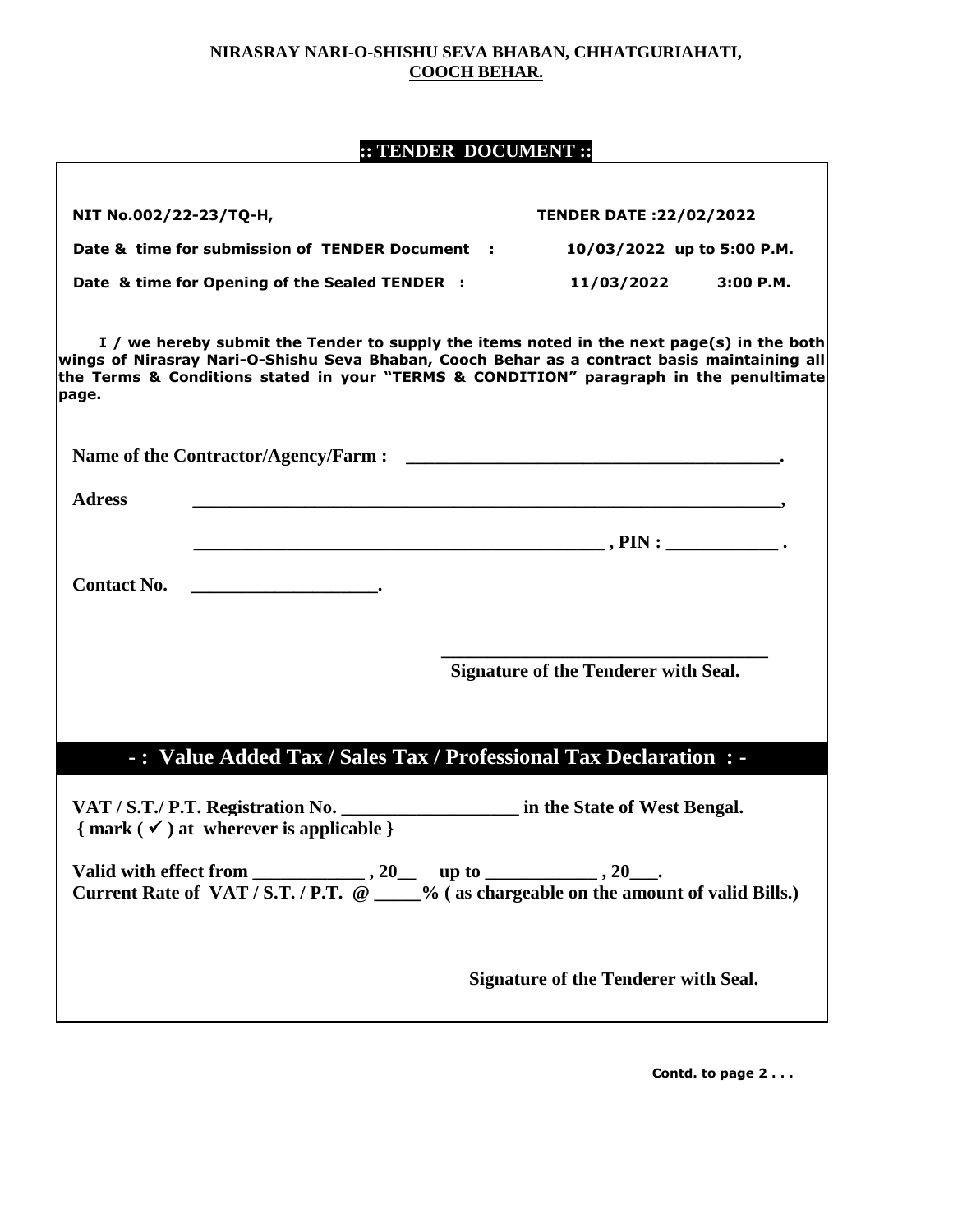### **NIRASRAY NARI-O-SHISHU SEVA BHABAN, CHHATGURIAHATI, COOCH BEHAR.**

# **:: TENDER DOCUMENT ::**

| NIT No.002/22-23/TQ-H, |                                                                                                                                                                                                                                                                                                                                                                                                                                                            | <b>TENDER DATE:22/02/2022</b>               |          |
|------------------------|------------------------------------------------------------------------------------------------------------------------------------------------------------------------------------------------------------------------------------------------------------------------------------------------------------------------------------------------------------------------------------------------------------------------------------------------------------|---------------------------------------------|----------|
|                        | Date & time for submission of TENDER Document :                                                                                                                                                                                                                                                                                                                                                                                                            | 10/03/2022 up to 5:00 P.M.                  |          |
|                        | Date & time for Opening of the Sealed TENDER :                                                                                                                                                                                                                                                                                                                                                                                                             | 11/03/2022                                  | 3:00P.M. |
| page.                  | I / we hereby submit the Tender to supply the items noted in the next page(s) in the both<br>wings of Nirasray Nari-O-Shishu Seva Bhaban, Cooch Behar as a contract basis maintaining all<br>the Terms & Conditions stated in your "TERMS & CONDITION" paragraph in the penultimate                                                                                                                                                                        |                                             |          |
|                        |                                                                                                                                                                                                                                                                                                                                                                                                                                                            |                                             |          |
| <b>Adress</b>          |                                                                                                                                                                                                                                                                                                                                                                                                                                                            |                                             |          |
|                        | $\begin{aligned} \text{PIN}: \end{aligned}$ .                                                                                                                                                                                                                                                                                                                                                                                                              |                                             |          |
|                        | Contact No.                                                                                                                                                                                                                                                                                                                                                                                                                                                |                                             |          |
|                        |                                                                                                                                                                                                                                                                                                                                                                                                                                                            | <b>Signature of the Tenderer with Seal.</b> |          |
|                        |                                                                                                                                                                                                                                                                                                                                                                                                                                                            |                                             |          |
|                        | -: Value Added Tax / Sales Tax / Professional Tax Declaration : -                                                                                                                                                                                                                                                                                                                                                                                          |                                             |          |
|                        | VAT / S.T./ P.T. Registration No. _______________________ in the State of West Bengal.<br>$\{ mark (\checkmark) at where$ wherever is applicable $\}$                                                                                                                                                                                                                                                                                                      |                                             |          |
|                        | Valid with effect from $\frac{1}{\sqrt{2\pi} \sqrt{2\pi} \sqrt{2\pi} \sqrt{2}}$ , 20 up to $\frac{1}{\sqrt{2\pi} \sqrt{2\pi} \sqrt{2\pi} \sqrt{2\pi} \sqrt{2\pi} \sqrt{2\pi} \sqrt{2\pi} \sqrt{2\pi} \sqrt{2\pi} \sqrt{2\pi} \sqrt{2\pi} \sqrt{2\pi} \sqrt{2\pi} \sqrt{2\pi} \sqrt{2\pi} \sqrt{2\pi} \sqrt{2\pi} \sqrt{2\pi} \sqrt{2\pi} \sqrt{2\pi} \sqrt{2\pi} \$<br>Current Rate of VAT/S.T./P.T. @ ____% (as chargeable on the amount of valid Bills.) |                                             |          |
|                        |                                                                                                                                                                                                                                                                                                                                                                                                                                                            | <b>Signature of the Tenderer with Seal.</b> |          |

 **Contd. to page 2 . . .**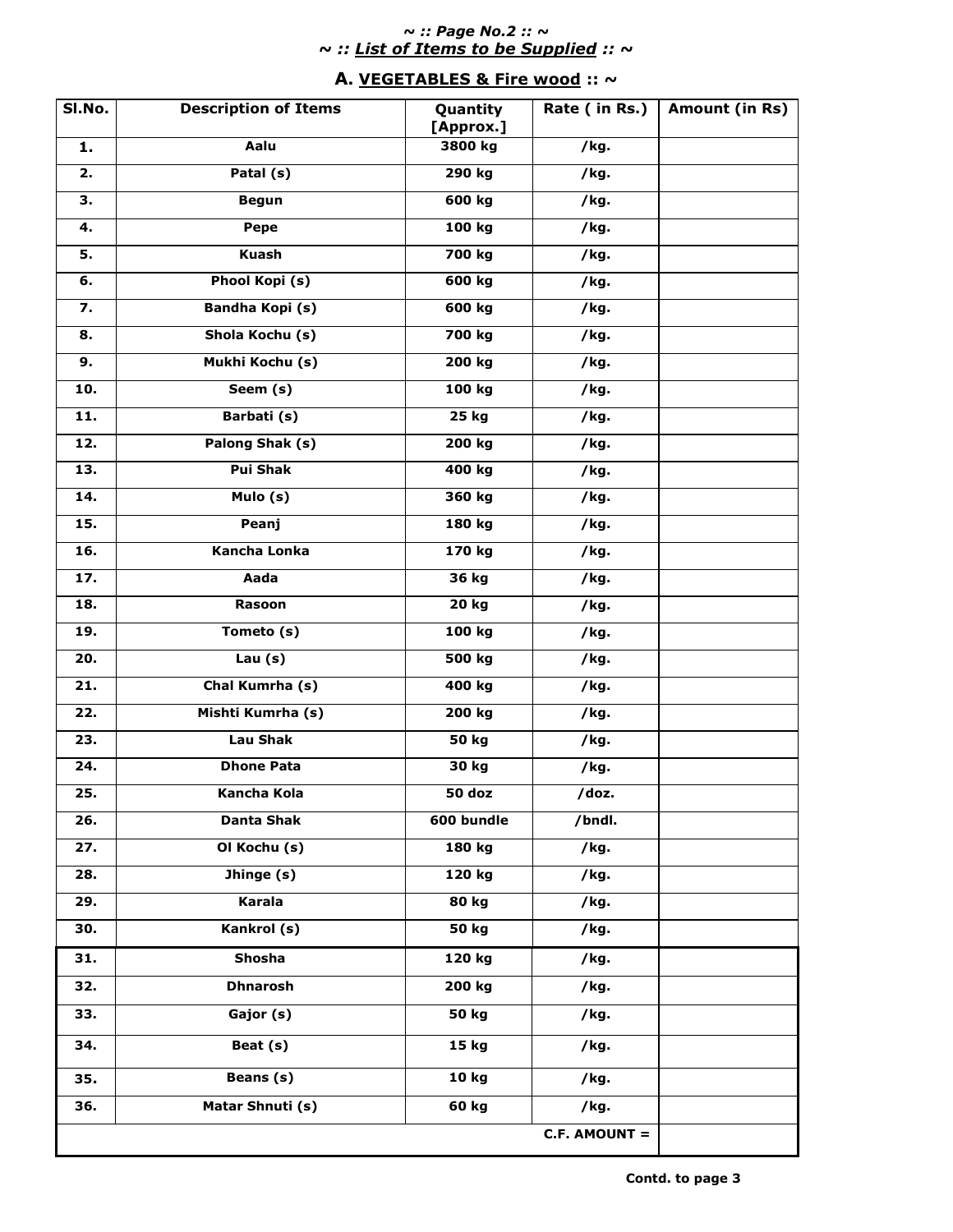### *~ :: Page No.2 :: ~ ~ :: List of Items to be Supplied :: ~*

### **A. VEGETABLES & Fire wood :: ~**

| SI.No.            | <b>Description of Items</b> | Quantity<br>[Approx.] | Rate (in Rs.)      | Amount (in Rs) |
|-------------------|-----------------------------|-----------------------|--------------------|----------------|
| 1.                | Aalu                        | 3800 kg               | /kg.               |                |
| 2.                | Patal (s)                   | 290 kg                | $\overline{I}$ kg. |                |
| 3.                | <b>Begun</b>                | 600 kg                | /kg.               |                |
| 4.                | Pepe                        | 100 kg                | /kg.               |                |
| 5.                | <b>Kuash</b>                | 700 kg                | /kg.               |                |
| 6.                | Phool Kopi (s)              | 600 kg                | /kg.               |                |
| $\overline{7}$ .  | <b>Bandha Kopi (s)</b>      | 600 kg                | /kg.               |                |
| 8.                | Shola Kochu (s)             | 700 kg                | /kg.               |                |
| 9.                | Mukhi Kochu (s)             | 200 kg                | /kg.               |                |
| 10.               | Seem (s)                    | 100 kg                | /kg.               |                |
| $\overline{11}$ . | Barbati (s)                 | 25 kg                 | /kg.               |                |
| 12.               | Palong Shak (s)             | 200 kg                | /kg.               |                |
| 13.               | <b>Pui Shak</b>             | 400 kg                | /kg.               |                |
| 14.               | Mulo (s)                    | 360 kg                | /kg.               |                |
| 15.               | Peanj                       | 180 kg                | /kg.               |                |
| 16.               | <b>Kancha Lonka</b>         | 170 kg                | /kg.               |                |
| 17.               | Aada                        | 36 kg                 | /kg.               |                |
| 18.               | Rasoon                      | 20 kg                 | /kg.               |                |
| 19.               | Tometo (s)                  | 100 kg                | /kg.               |                |
| $\overline{20}$ . | Lau $(s)$                   | 500 kg                | /kg.               |                |
| 21.               | Chal Kumrha (s)             | 400 kg                | /kg.               |                |
| 22.               | Mishti Kumrha (s)           | 200 kg                | /kg.               |                |
| 23.               | <b>Lau Shak</b>             | 50 kg                 | /kg.               |                |
| 24.               | <b>Dhone Pata</b>           | 30 kg                 | /kg.               |                |
| 25.               | <b>Kancha Kola</b>          | 50 doz                | /doz.              |                |
| 26.               | <b>Danta Shak</b>           | 600 bundle            | /bndl.             |                |
| 27.               | Ol Kochu (s)                | 180 kg                | /kg.               |                |
| 28.               | Jhinge (s)                  | 120 kg                | /kg.               |                |
| 29.               | Karala                      | 80 kg                 | /kg.               |                |
| 30.               | Kankrol (s)                 | 50 kg                 | /kg.               |                |
| 31.               | <b>Shosha</b>               | 120 kg                | /kg.               |                |
| 32.               | <b>Dhnarosh</b>             | 200 kg                | /kg.               |                |
| 33.               | Gajor (s)                   | 50 kg                 | /kg.               |                |
| 34.               | Beat (s)                    | 15 kg                 | /kg.               |                |
| 35.               | Beans (s)                   | 10 kg                 | /kg.               |                |
| 36.               | Matar Shnuti (s)            | 60 kg                 | /kg.               |                |
|                   |                             |                       | $C.F. AMOUNT =$    |                |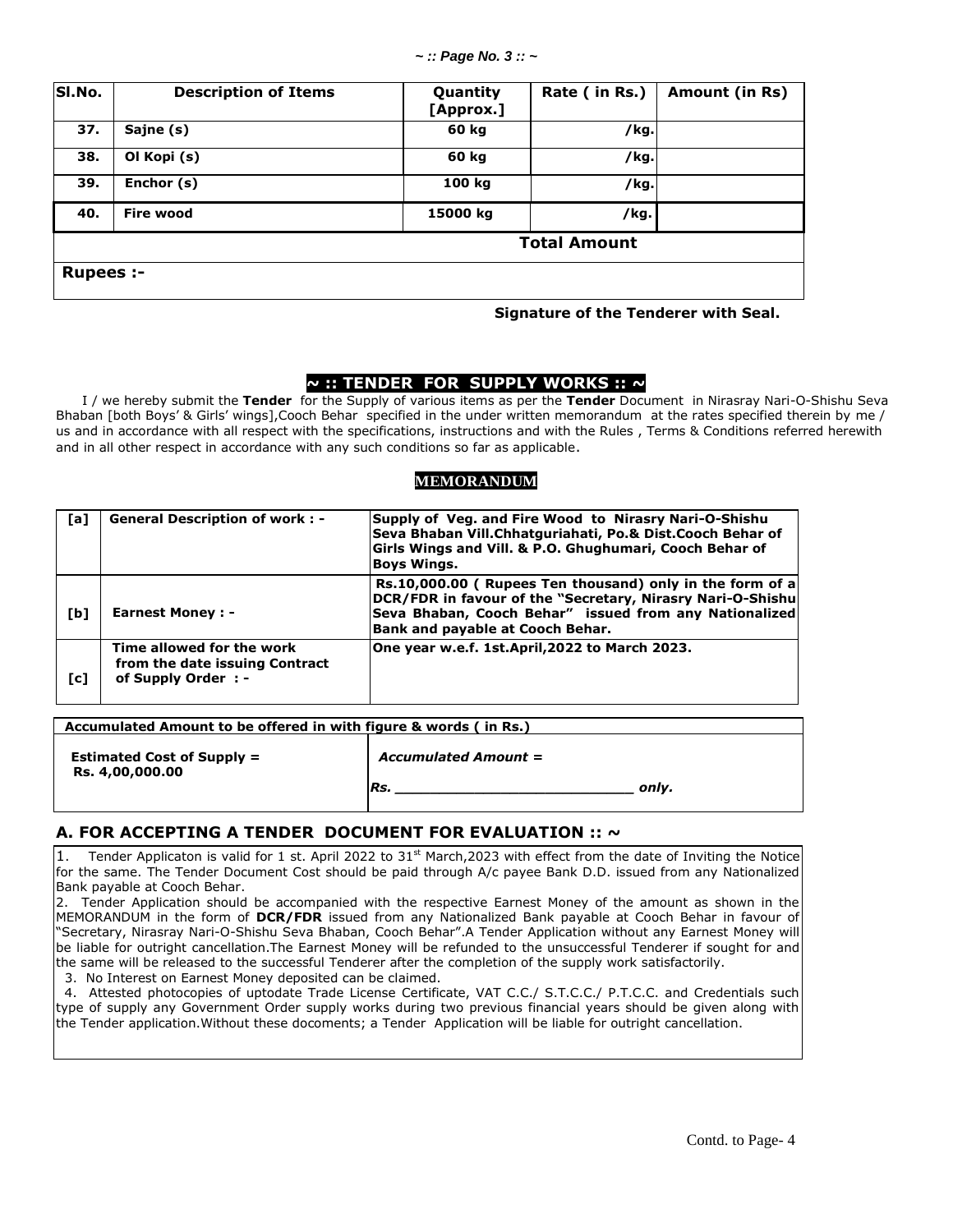| SI.No.              | <b>Description of Items</b> | Quantity<br>[Approx.] | Rate (in Rs.) | Amount (in Rs) |  |
|---------------------|-----------------------------|-----------------------|---------------|----------------|--|
| 37.                 | Sajne (s)                   | 60 kg                 | /kg.          |                |  |
| 38.                 | Ol Kopi (s)                 | 60 kg                 | /kg.          |                |  |
| 39.                 | Enchor (s)                  | 100 kg                | /kg.          |                |  |
| 40.                 | <b>Fire wood</b>            | 15000 kg              | /kg.          |                |  |
| <b>Total Amount</b> |                             |                       |               |                |  |
| <b>Rupees:-</b>     |                             |                       |               |                |  |

#### **Signature of the Tenderer with Seal.**

### **~ :: TENDER FOR SUPPLY WORKS :: ~**

 I / we hereby submit the **Tender** for the Supply of various items as per the **Tender** Document in Nirasray Nari-O-Shishu Seva Bhaban [both Boys' & Girls' wings],Cooch Behar specified in the under written memorandum at the rates specified therein by me / us and in accordance with all respect with the specifications, instructions and with the Rules , Terms & Conditions referred herewith and in all other respect in accordance with any such conditions so far as applicable.

### **MEMORANDUM**

| [a] | <b>General Description of work: -</b>                                              | Supply of Veg. and Fire Wood to Nirasry Nari-O-Shishu<br>Seva Bhaban Vill.Chhatquriahati, Po.& Dist.Cooch Behar of<br>Girls Wings and Vill. & P.O. Ghughumari, Cooch Behar of<br><b>Boys Wings.</b>                  |
|-----|------------------------------------------------------------------------------------|----------------------------------------------------------------------------------------------------------------------------------------------------------------------------------------------------------------------|
| [b] | <b>Earnest Money: -</b>                                                            | Rs.10,000.00 (Rupees Ten thousand) only in the form of a<br>DCR/FDR in favour of the "Secretary, Nirasry Nari-O-Shishu<br>Seva Bhaban, Cooch Behar" issued from any Nationalized<br>Bank and payable at Cooch Behar. |
| [c] | Time allowed for the work<br>from the date issuing Contract<br>of Supply Order : - | One year w.e.f. 1st.April,2022 to March 2023.                                                                                                                                                                        |

| Accumulated Amount to be offered in with figure & words (in Rs.) |                                             |  |  |  |
|------------------------------------------------------------------|---------------------------------------------|--|--|--|
| <b>Estimated Cost of Supply =</b><br>Rs. 4,00,000.00             | <b>Accumulated Amount =</b><br>Rs.<br>only. |  |  |  |

### **A. FOR ACCEPTING A TENDER DOCUMENT FOR EVALUATION :: ~**

1. Tender Applicaton is valid for 1 st. April 2022 to  $31<sup>st</sup>$  March, 2023 with effect from the date of Inviting the Notice for the same. The Tender Document Cost should be paid through A/c payee Bank D.D. issued from any Nationalized Bank payable at Cooch Behar.

2. Tender Application should be accompanied with the respective Earnest Money of the amount as shown in the MEMORANDUM in the form of **DCR/FDR** issued from any Nationalized Bank payable at Cooch Behar in favour of "Secretary, Nirasray Nari-O-Shishu Seva Bhaban, Cooch Behar".A Tender Application without any Earnest Money will be liable for outright cancellation.The Earnest Money will be refunded to the unsuccessful Tenderer if sought for and the same will be released to the successful Tenderer after the completion of the supply work satisfactorily.

3. No Interest on Earnest Money deposited can be claimed.

 4. Attested photocopies of uptodate Trade License Certificate, VAT C.C./ S.T.C.C./ P.T.C.C. and Credentials such type of supply any Government Order supply works during two previous financial years should be given along with the Tender application.Without these docoments; a Tender Application will be liable for outright cancellation.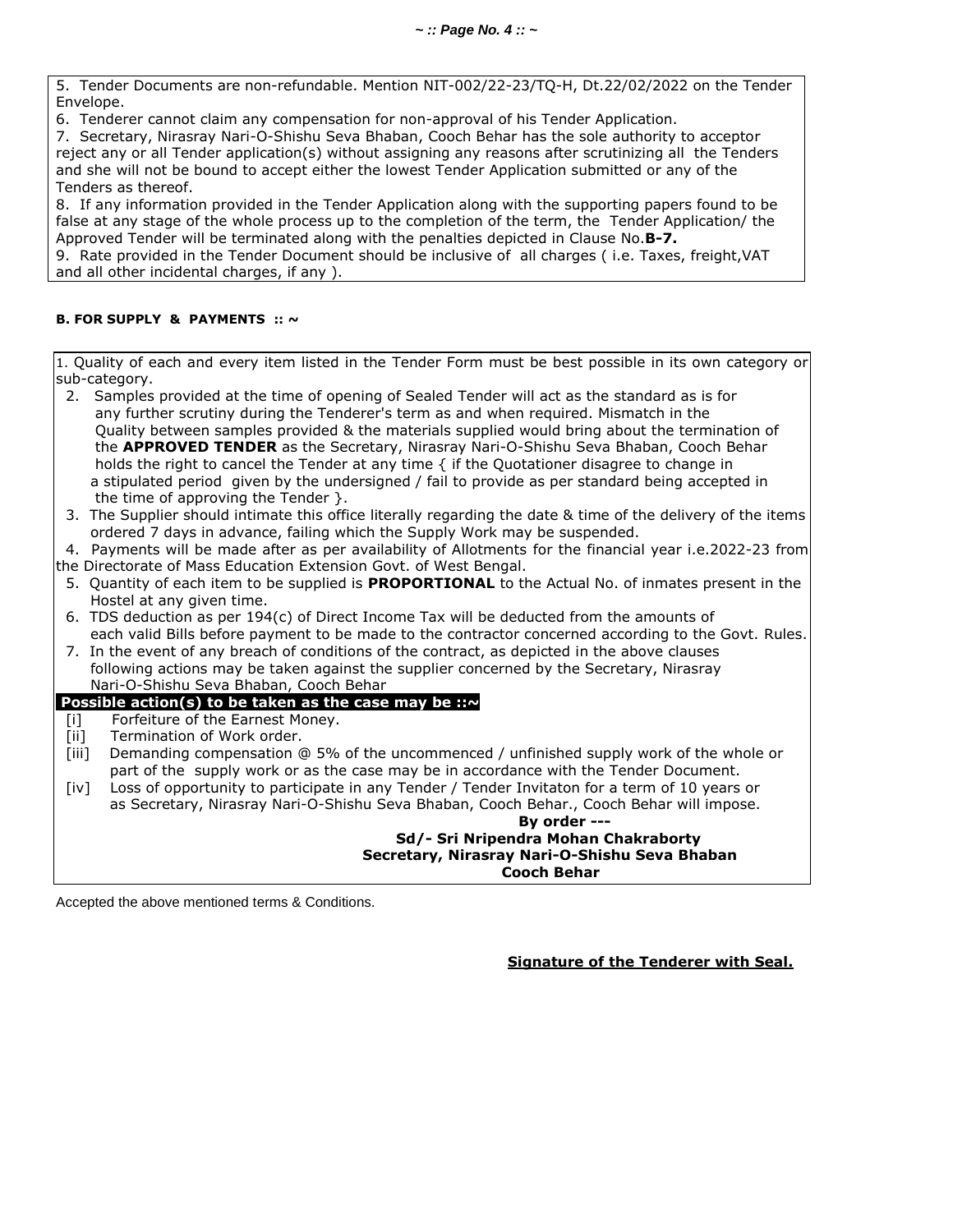5.Tender Documents are non-refundable. Mention NIT-002/22-23/TQ-H, Dt.22/02/2022 on the Tender Envelope.

6. Tenderer cannot claim any compensation for non-approval of his Tender Application.

7. Secretary, Nirasray Nari-O-Shishu Seva Bhaban, Cooch Behar has the sole authority to acceptor reject any or all Tender application(s) without assigning any reasons after scrutinizing all the Tenders and she will not be bound to accept either the lowest Tender Application submitted or any of the Tenders as thereof.

8. If any information provided in the Tender Application along with the supporting papers found to be false at any stage of the whole process up to the completion of the term, the Tender Application/ the Approved Tender will be terminated along with the penalties depicted in Clause No.**B-7.**

9. Rate provided in the Tender Document should be inclusive of all charges ( i.e. Taxes, freight,VAT and all other incidental charges, if any ).

### **B. FOR SUPPLY & PAYMENTS :: ~**

1. Quality of each and every item listed in the Tender Form must be best possible in its own category or sub-category.

- 2. Samples provided at the time of opening of Sealed Tender will act as the standard as is for any further scrutiny during the Tenderer's term as and when required. Mismatch in the Quality between samples provided & the materials supplied would bring about the termination of the **APPROVED TENDER** as the Secretary, Nirasray Nari-O-Shishu Seva Bhaban, Cooch Behar holds the right to cancel the Tender at any time { if the Quotationer disagree to change in a stipulated period given by the undersigned / fail to provide as per standard being accepted in the time of approving the Tender }.
- 3. The Supplier should intimate this office literally regarding the date & time of the delivery of the items ordered 7 days in advance, failing which the Supply Work may be suspended.

4. Payments will be made after as per availability of Allotments for the financial year i.e.2022-23 from

- the Directorate of Mass Education Extension Govt. of West Bengal.
- 5. Quantity of each item to be supplied is **PROPORTIONAL** to the Actual No. of inmates present in the Hostel at any given time.
- 6. TDS deduction as per  $194(c)$  of Direct Income Tax will be deducted from the amounts of each valid Bills before payment to be made to the contractor concerned according to the Govt. Rules.
- 7. In the event of any breach of conditions of the contract, as depicted in the above clauses
- following actions may be taken against the supplier concerned by the Secretary, Nirasray Nari-O-Shishu Seva Bhaban, Cooch Behar

### **Possible action(s) to be taken as the case may be :: ~**

- [i] Forfeiture of the Earnest Money.
- [ii] Termination of Work order.
- [iii] Demanding compensation @ 5% of the uncommenced / unfinished supply work of the whole or part of the supply work or as the case may be in accordance with the Tender Document.
- [iv] Loss of opportunity to participate in any Tender / Tender Invitaton for a term of 10 years or as Secretary, Nirasray Nari-O-Shishu Seva Bhaban, Cooch Behar., Cooch Behar will impose.

### **By order --- Sd/- Sri Nripendra Mohan Chakraborty Secretary, Nirasray Nari-O-Shishu Seva Bhaban Cooch Behar**

Accepted the above mentioned terms & Conditions.

**Signature of the Tenderer with Seal.**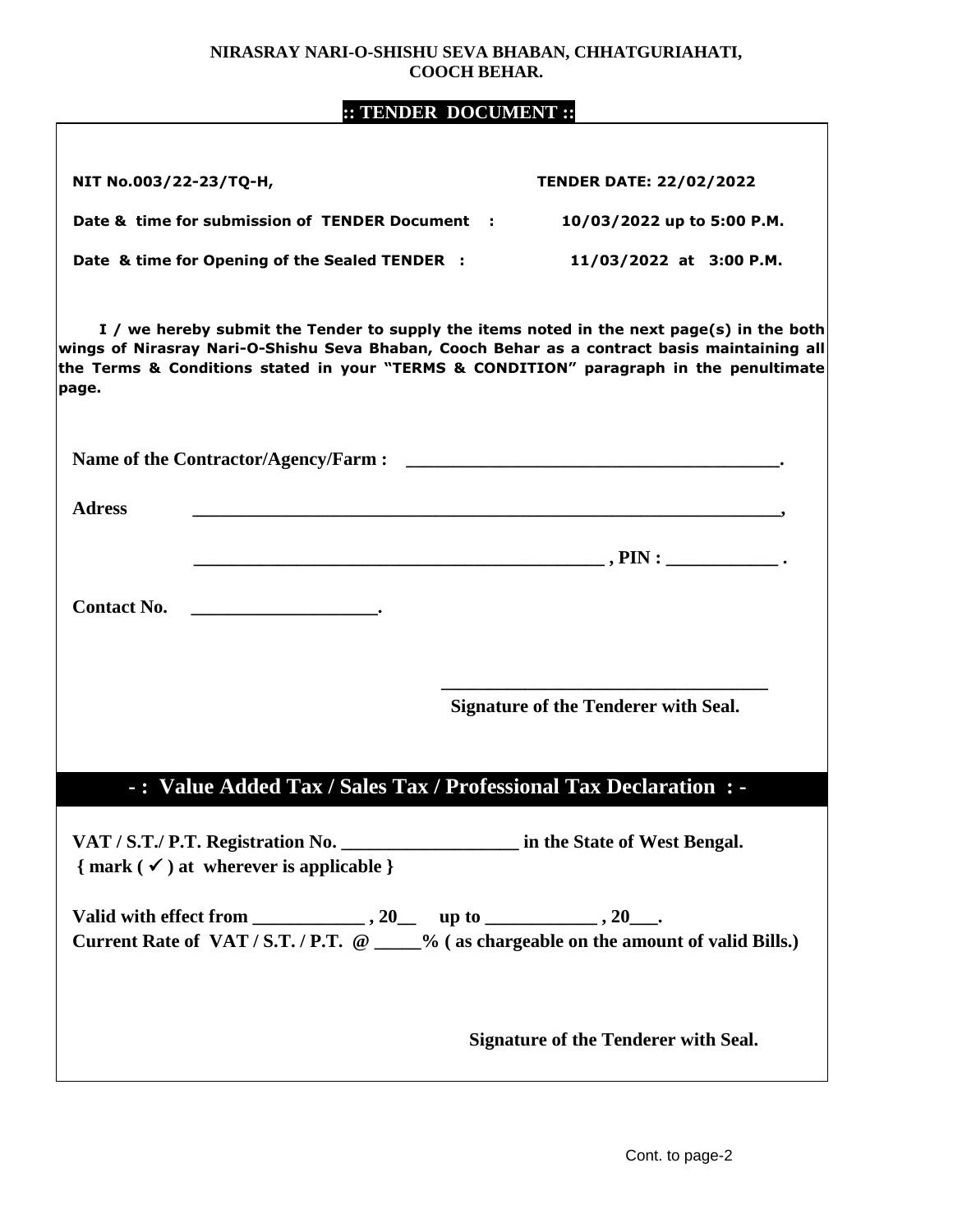### **NIRASRAY NARI-O-SHISHU SEVA BHABAN, CHHATGURIAHATI, COOCH BEHAR.**

### **:: TENDER DOCUMENT ::**

| NIT No.003/22-23/TQ-H,                                                                                                                                                                                                                                                                       | <b>TENDER DATE: 22/02/2022</b>                                                                                       |
|----------------------------------------------------------------------------------------------------------------------------------------------------------------------------------------------------------------------------------------------------------------------------------------------|----------------------------------------------------------------------------------------------------------------------|
| Date & time for submission of TENDER Document :                                                                                                                                                                                                                                              | 10/03/2022 up to 5:00 P.M.                                                                                           |
| Date & time for Opening of the Sealed TENDER :                                                                                                                                                                                                                                               | 11/03/2022 at 3:00 P.M.                                                                                              |
| I / we hereby submit the Tender to supply the items noted in the next page(s) in the both<br>wings of Nirasray Nari-O-Shishu Seva Bhaban, Cooch Behar as a contract basis maintaining all<br>the Terms & Conditions stated in your "TERMS & CONDITION" paragraph in the penultimate<br>page. |                                                                                                                      |
|                                                                                                                                                                                                                                                                                              |                                                                                                                      |
| <b>Adress</b>                                                                                                                                                                                                                                                                                | <u> 1980 - Johann Barn, mars ar breithinn ar chwaraeth a bhann an chwaraeth a bhann an chwaraeth a bhann an chwa</u> |
|                                                                                                                                                                                                                                                                                              |                                                                                                                      |
| <b>Contact No.</b>                                                                                                                                                                                                                                                                           |                                                                                                                      |
|                                                                                                                                                                                                                                                                                              | <b>Signature of the Tenderer with Seal.</b>                                                                          |
| -: Value Added Tax / Sales Tax / Professional Tax Declaration : -                                                                                                                                                                                                                            |                                                                                                                      |
| VAT / S.T./ P.T. Registration No. _______________________ in the State of West Bengal.<br>$\{ mark (\checkmark) at where$ where is applicable $\}$                                                                                                                                           |                                                                                                                      |
| Current Rate of VAT / S.T. / P.T. @ ____% (as chargeable on the amount of valid Bills.)                                                                                                                                                                                                      |                                                                                                                      |
|                                                                                                                                                                                                                                                                                              | <b>Signature of the Tenderer with Seal.</b>                                                                          |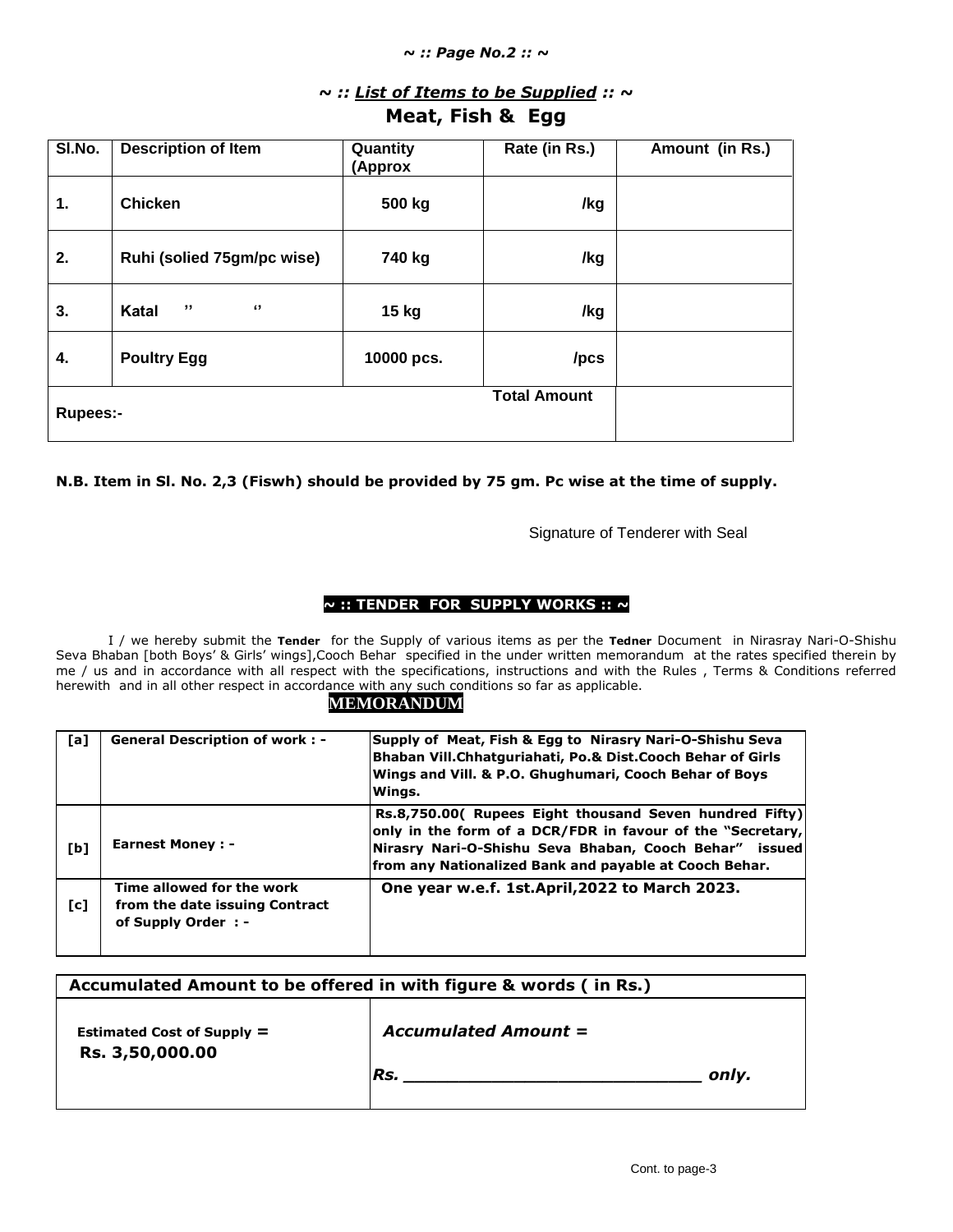#### *~ :: Page No.2 :: ~*

# *~ :: List of Items to be Supplied :: ~*

## **Meat, Fish & Egg**

| SI.No.          | <b>Description of Item</b> | Quantity<br>(Approx | Rate (in Rs.)       | Amount (in Rs.) |
|-----------------|----------------------------|---------------------|---------------------|-----------------|
| 1.              | <b>Chicken</b>             | 500 kg              | /kg                 |                 |
| 2.              | Ruhi (solied 75gm/pc wise) | 740 kg              | /kg                 |                 |
| 3.              | ,,<br>"<br>Katal           | 15 kg               | /kg                 |                 |
| 4.              | <b>Poultry Egg</b>         | 10000 pcs.          | /pcs                |                 |
| <b>Rupees:-</b> |                            |                     | <b>Total Amount</b> |                 |

### **N.B. Item in Sl. No. 2,3 (Fiswh) should be provided by 75 gm. Pc wise at the time of supply.**

Signature of Tenderer with Seal

### **~ :: TENDER FOR SUPPLY WORKS :: ~**

 I / we hereby submit the **Tender** for the Supply of various items as per the **Tedner** Document in Nirasray Nari-O-Shishu Seva Bhaban [both Boys' & Girls' wings], Cooch Behar specified in the under written memorandum at the rates specified therein by me / us and in accordance with all respect with the specifications, instructions and with the Rules , Terms & Conditions referred herewith and in all other respect in accordance with any such conditions so far as applicable.

### **MEMORANDUM**

| [a] | <b>General Description of work: -</b>                                              | Supply of Meat, Fish & Egg to Nirasry Nari-O-Shishu Seva<br>Bhaban Vill.Chhatguriahati, Po.& Dist.Cooch Behar of Girls<br>Wings and Vill. & P.O. Ghughumari, Cooch Behar of Boys<br>Winas.                                                |
|-----|------------------------------------------------------------------------------------|-------------------------------------------------------------------------------------------------------------------------------------------------------------------------------------------------------------------------------------------|
| [b] | <b>Earnest Money: -</b>                                                            | Rs.8,750.00( Rupees Eight thousand Seven hundred Fifty)<br>only in the form of a DCR/FDR in favour of the "Secretary,<br>Nirasry Nari-O-Shishu Seva Bhaban, Cooch Behar" issued<br>from any Nationalized Bank and payable at Cooch Behar. |
| [c] | Time allowed for the work<br>from the date issuing Contract<br>of Supply Order : - | One year w.e.f. 1st. April, 2022 to March 2023.                                                                                                                                                                                           |

| Accumulated Amount to be offered in with figure & words (in Rs.) |                             |       |
|------------------------------------------------------------------|-----------------------------|-------|
| Estimated Cost of Supply $=$<br>Rs. 3,50,000.00                  | <b>Accumulated Amount =</b> |       |
|                                                                  | IRs.                        | onlv. |